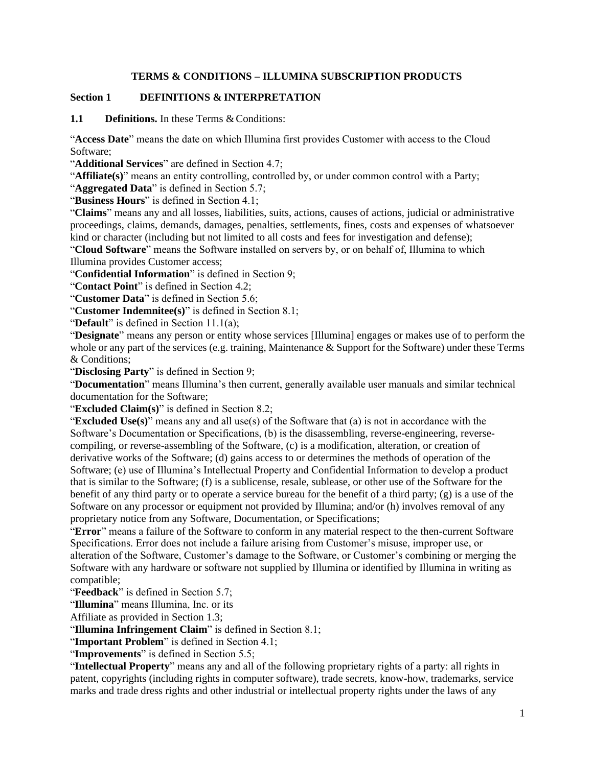#### **TERMS & CONDITIONS – ILLUMINA SUBSCRIPTION PRODUCTS**

#### **Section 1 DEFINITIONS & INTERPRETATION**

**1.1 Definitions.** In these Terms & Conditions:

"**Access Date**" means the date on which Illumina first provides Customer with access to the Cloud Software;

"**Additional Services**" are defined in Section 4.7;

"**Affiliate(s)**" means an entity controlling, controlled by, or under common control with a Party;

"**Aggregated Data**" is defined in Section 5.7;

"**Business Hours**" is defined in Section 4.1;

"**Claims**" means any and all losses, liabilities, suits, actions, causes of actions, judicial or administrative proceedings, claims, demands, damages, penalties, settlements, fines, costs and expenses of whatsoever kind or character (including but not limited to all costs and fees for investigation and defense);

"**Cloud Software**" means the Software installed on servers by, or on behalf of, Illumina to which Illumina provides Customer access;

"**Confidential Information**" is defined in Section 9;

"**Contact Point**" is defined in Section 4.2;

"**Customer Data**" is defined in Section 5.6;

"**Customer Indemnitee(s)**" is defined in Section 8.1;

"**Default**" is defined in Section 11.1(a);

"**Designate**" means any person or entity whose services [Illumina] engages or makes use of to perform the whole or any part of the services (e.g. training, Maintenance & Support for the Software) under these Terms & Conditions;

"**Disclosing Party**" is defined in Section 9;

"**Documentation**" means Illumina's then current, generally available user manuals and similar technical documentation for the Software;

"**Excluded Claim(s)**" is defined in Section 8.2;

"**Excluded Use(s)**" means any and all use(s) of the Software that (a) is not in accordance with the Software's Documentation or Specifications, (b) is the disassembling, reverse-engineering, reversecompiling, or reverse-assembling of the Software, (c) is a modification, alteration, or creation of derivative works of the Software; (d) gains access to or determines the methods of operation of the Software; (e) use of Illumina's Intellectual Property and Confidential Information to develop a product that is similar to the Software; (f) is a sublicense, resale, sublease, or other use of the Software for the benefit of any third party or to operate a service bureau for the benefit of a third party; (g) is a use of the Software on any processor or equipment not provided by Illumina; and/or (h) involves removal of any proprietary notice from any Software, Documentation, or Specifications;

"**Error**" means a failure of the Software to conform in any material respect to the then-current Software Specifications. Error does not include a failure arising from Customer's misuse, improper use, or alteration of the Software, Customer's damage to the Software, or Customer's combining or merging the Software with any hardware or software not supplied by Illumina or identified by Illumina in writing as compatible;

"**Feedback**" is defined in Section 5.7;

"**Illumina**" means Illumina, Inc. or its

Affiliate as provided in Section 1.3;

"**Illumina Infringement Claim**" is defined in Section 8.1;

"**Important Problem**" is defined in Section 4.1;

"**Improvements**" is defined in Section 5.5;

"**Intellectual Property**" means any and all of the following proprietary rights of a party: all rights in patent, copyrights (including rights in computer software), trade secrets, know-how, trademarks, service marks and trade dress rights and other industrial or intellectual property rights under the laws of any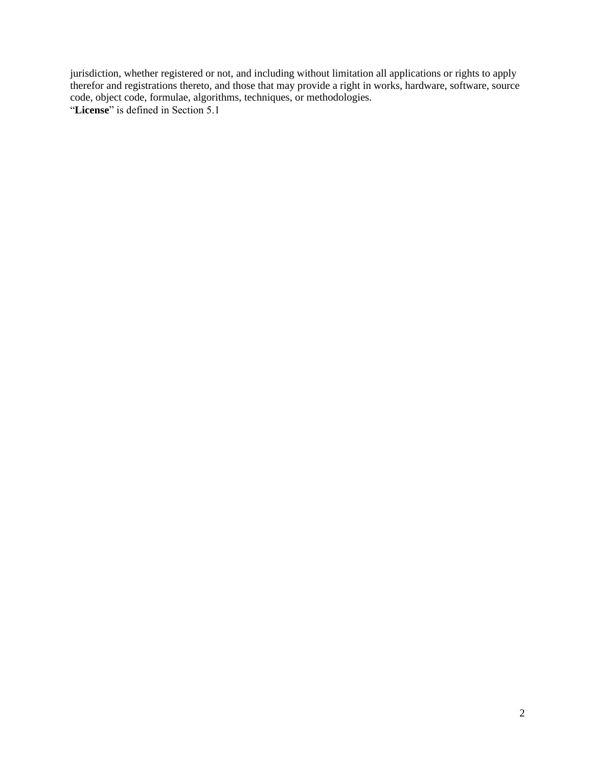jurisdiction, whether registered or not, and including without limitation all applications or rights to apply therefor and registrations thereto, and those that may provide a right in works, hardware, software, source code, object code, formulae, algorithms, techniques, or methodologies. "**License**" is defined in Section 5.1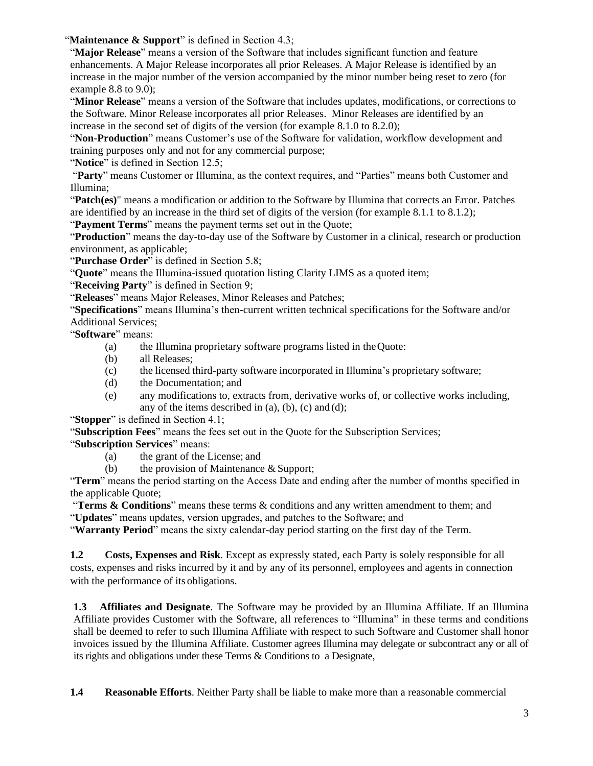"**Maintenance & Support**" is defined in Section 4.3;

"**Major Release**" means a version of the Software that includes significant function and feature enhancements. A Major Release incorporates all prior Releases. A Major Release is identified by an increase in the major number of the version accompanied by the minor number being reset to zero (for example 8.8 to 9.0);

"**Minor Release**" means a version of the Software that includes updates, modifications, or corrections to the Software. Minor Release incorporates all prior Releases. Minor Releases are identified by an increase in the second set of digits of the version (for example 8.1.0 to 8.2.0);

"**Non-Production**" means Customer's use of the Software for validation, workflow development and training purposes only and not for any commercial purpose;

"**Notice**" is defined in Section 12.5;

"**Party**" means Customer or Illumina, as the context requires, and "Parties" means both Customer and Illumina;

"**Patch(es)**" means a modification or addition to the Software by Illumina that corrects an Error. Patches are identified by an increase in the third set of digits of the version (for example 8.1.1 to 8.1.2);

"**Payment Terms**" means the payment terms set out in the Quote;

"**Production**" means the day-to-day use of the Software by Customer in a clinical, research or production environment, as applicable;

"Purchase Order" is defined in Section 5.8;

"**Quote**" means the Illumina-issued quotation listing Clarity LIMS as a quoted item;

"**Receiving Party**" is defined in Section 9;

"**Releases**" means Major Releases, Minor Releases and Patches;

"**Specifications**" means Illumina's then-current written technical specifications for the Software and/or Additional Services;

"**Software**" means:

- (a) the Illumina proprietary software programs listed in theQuote:
- (b) all Releases;
- (c) the licensed third-party software incorporated in Illumina's proprietary software;
- (d) the Documentation; and
- (e) any modifications to, extracts from, derivative works of, or collective works including, any of the items described in  $(a)$ ,  $(b)$ ,  $(c)$  and  $(d)$ ;

"**Stopper**" is defined in Section 4.1;

"**Subscription Fees**" means the fees set out in the Quote for the Subscription Services;

"**Subscription Services**" means:

- (a) the grant of the License; and
- (b) the provision of Maintenance & Support;

"**Term**" means the period starting on the Access Date and ending after the number of months specified in the applicable Quote;

"**Terms & Conditions**" means these terms & conditions and any written amendment to them; and "**Updates**" means updates, version upgrades, and patches to the Software; and

"**Warranty Period**" means the sixty calendar-day period starting on the first day of the Term.

**1.2 Costs, Expenses and Risk**. Except as expressly stated, each Party is solely responsible for all costs, expenses and risks incurred by it and by any of its personnel, employees and agents in connection with the performance of its obligations.

**1.3 Affiliates and Designate**. The Software may be provided by an Illumina Affiliate. If an Illumina Affiliate provides Customer with the Software, all references to "Illumina" in these terms and conditions shall be deemed to refer to such Illumina Affiliate with respect to such Software and Customer shall honor invoices issued by the Illumina Affiliate. Customer agrees Illumina may delegate or subcontract any or all of its rights and obligations under these Terms & Conditions to a Designate,

**1.4 Reasonable Efforts**. Neither Party shall be liable to make more than a reasonable commercial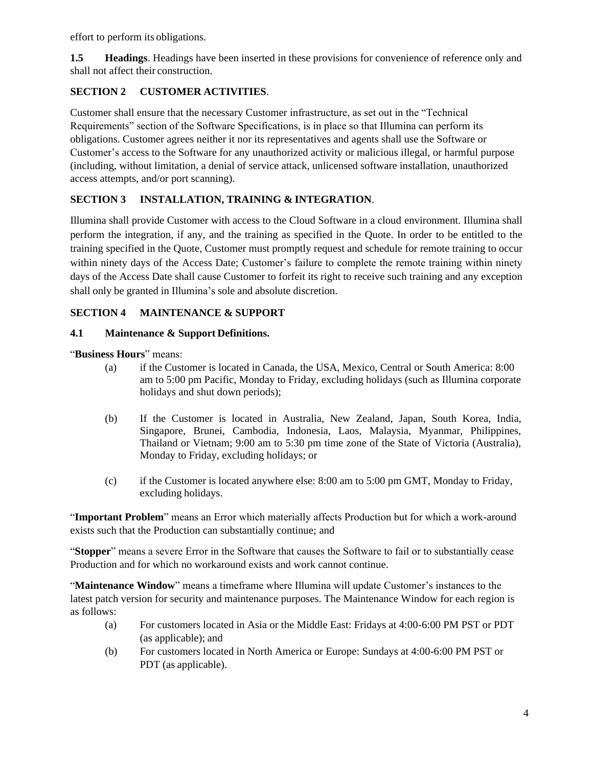effort to perform its obligations.

**1.5 Headings**. Headings have been inserted in these provisions for convenience of reference only and shall not affect their construction.

### **SECTION 2 CUSTOMER ACTIVITIES**.

Customer shall ensure that the necessary Customer infrastructure, as set out in the "Technical Requirements" section of the Software Specifications, is in place so that Illumina can perform its obligations. Customer agrees neither it nor its representatives and agents shall use the Software or Customer's access to the Software for any unauthorized activity or malicious illegal, or harmful purpose (including, without limitation, a denial of service attack, unlicensed software installation, unauthorized access attempts, and/or port scanning).

## **SECTION 3 INSTALLATION, TRAINING & INTEGRATION**.

Illumina shall provide Customer with access to the Cloud Software in a cloud environment. Illumina shall perform the integration, if any, and the training as specified in the Quote. In order to be entitled to the training specified in the Quote, Customer must promptly request and schedule for remote training to occur within ninety days of the Access Date; Customer's failure to complete the remote training within ninety days of the Access Date shall cause Customer to forfeit its right to receive such training and any exception shall only be granted in Illumina's sole and absolute discretion.

### **SECTION 4 MAINTENANCE & SUPPORT**

#### **4.1 Maintenance & Support Definitions.**

"**Business Hours**" means:

- (a) if the Customer is located in Canada, the USA, Mexico, Central or South America: 8:00 am to 5:00 pm Pacific, Monday to Friday, excluding holidays (such as Illumina corporate holidays and shut down periods);
- (b) If the Customer is located in Australia, New Zealand, Japan, South Korea, India, Singapore, Brunei, Cambodia, Indonesia, Laos, Malaysia, Myanmar, Philippines, Thailand or Vietnam; 9:00 am to 5:30 pm time zone of the State of Victoria (Australia), Monday to Friday, excluding holidays; or
- (c) if the Customer is located anywhere else: 8:00 am to 5:00 pm GMT, Monday to Friday, excluding holidays.

"**Important Problem**" means an Error which materially affects Production but for which a work-around exists such that the Production can substantially continue; and

"**Stopper**" means a severe Error in the Software that causes the Software to fail or to substantially cease Production and for which no workaround exists and work cannot continue.

"**Maintenance Window**" means a timeframe where Illumina will update Customer's instances to the latest patch version for security and maintenance purposes. The Maintenance Window for each region is as follows:

- (a) For customers located in Asia or the Middle East: Fridays at 4:00-6:00 PM PST or PDT (as applicable); and
- (b) For customers located in North America or Europe: Sundays at 4:00-6:00 PM PST or PDT (as applicable).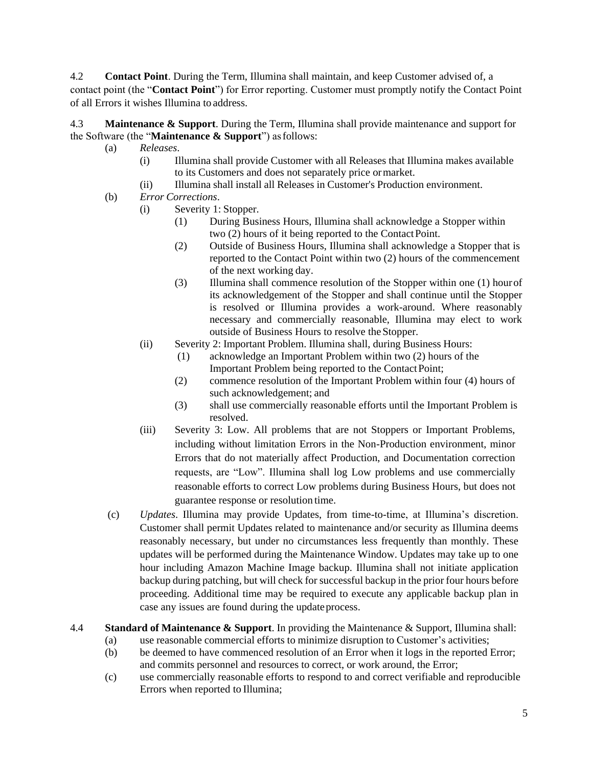4.2 **Contact Point**. During the Term, Illumina shall maintain, and keep Customer advised of, a contact point (the "**Contact Point**") for Error reporting. Customer must promptly notify the Contact Point of all Errors it wishes Illumina to address.

4.3 **Maintenance & Support**. During the Term, Illumina shall provide maintenance and support for the Software (the "**Maintenance & Support**") asfollows:

- (a) *Releases*.
	- (i) Illumina shall provide Customer with all Releases that Illumina makes available to its Customers and does not separately price ormarket.
	- (ii) Illumina shall install all Releases in Customer's Production environment.
- (b) *Error Corrections*.
	- (i) Severity 1: Stopper.
		- (1) During Business Hours, Illumina shall acknowledge a Stopper within two (2) hours of it being reported to the Contact Point.
		- (2) Outside of Business Hours, Illumina shall acknowledge a Stopper that is reported to the Contact Point within two (2) hours of the commencement of the next working day.
		- (3) Illumina shall commence resolution of the Stopper within one (1) hourof its acknowledgement of the Stopper and shall continue until the Stopper is resolved or Illumina provides a work-around. Where reasonably necessary and commercially reasonable, Illumina may elect to work outside of Business Hours to resolve theStopper.
	- (ii) Severity 2: Important Problem. Illumina shall, during Business Hours:
		- (1) acknowledge an Important Problem within two (2) hours of the Important Problem being reported to the ContactPoint;
		- (2) commence resolution of the Important Problem within four (4) hours of such acknowledgement; and
		- (3) shall use commercially reasonable efforts until the Important Problem is resolved.
	- (iii) Severity 3: Low. All problems that are not Stoppers or Important Problems, including without limitation Errors in the Non-Production environment, minor Errors that do not materially affect Production, and Documentation correction requests, are "Low". Illumina shall log Low problems and use commercially reasonable efforts to correct Low problems during Business Hours, but does not guarantee response or resolution time.
- (c) *Updates*. Illumina may provide Updates, from time-to-time, at Illumina's discretion. Customer shall permit Updates related to maintenance and/or security as Illumina deems reasonably necessary, but under no circumstances less frequently than monthly. These updates will be performed during the Maintenance Window. Updates may take up to one hour including Amazon Machine Image backup. Illumina shall not initiate application backup during patching, but will check for successful backup in the prior four hours before proceeding. Additional time may be required to execute any applicable backup plan in case any issues are found during the update process.
- 4.4 **Standard of Maintenance & Support**. In providing the Maintenance & Support, Illumina shall:
	- (a) use reasonable commercial efforts to minimize disruption to Customer's activities;
	- (b) be deemed to have commenced resolution of an Error when it logs in the reported Error; and commits personnel and resources to correct, or work around, the Error;
	- (c) use commercially reasonable efforts to respond to and correct verifiable and reproducible Errors when reported to Illumina;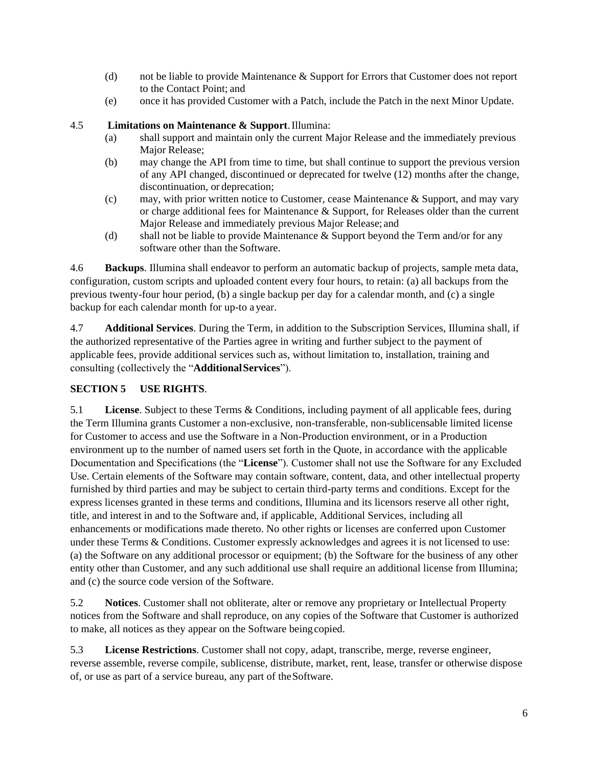- (d) not be liable to provide Maintenance & Support for Errors that Customer does not report to the Contact Point; and
- (e) once it has provided Customer with a Patch, include the Patch in the next Minor Update.

#### 4.5 **Limitations on Maintenance & Support**.Illumina:

- (a) shall support and maintain only the current Major Release and the immediately previous Major Release;
- (b) may change the API from time to time, but shall continue to support the previous version of any API changed, discontinued or deprecated for twelve (12) months after the change, discontinuation, or deprecation;
- (c) may, with prior written notice to Customer, cease Maintenance & Support, and may vary or charge additional fees for Maintenance  $\&$  Support, for Releases older than the current Major Release and immediately previous Major Release; and
- (d) shall not be liable to provide Maintenance & Support beyond the Term and/or for any software other than the Software.

4.6 **Backups**. Illumina shall endeavor to perform an automatic backup of projects, sample meta data, configuration, custom scripts and uploaded content every four hours, to retain: (a) all backups from the previous twenty-four hour period, (b) a single backup per day for a calendar month, and (c) a single backup for each calendar month for up-to a year.

4.7 **Additional Services**. During the Term, in addition to the Subscription Services, Illumina shall, if the authorized representative of the Parties agree in writing and further subject to the payment of applicable fees, provide additional services such as, without limitation to, installation, training and consulting (collectively the "**AdditionalServices**").

#### **SECTION 5 USE RIGHTS**.

5.1 **License**. Subject to these Terms & Conditions, including payment of all applicable fees, during the Term Illumina grants Customer a non-exclusive, non-transferable, non-sublicensable limited license for Customer to access and use the Software in a Non-Production environment, or in a Production environment up to the number of named users set forth in the Quote, in accordance with the applicable Documentation and Specifications (the "**License**"). Customer shall not use the Software for any Excluded Use. Certain elements of the Software may contain software, content, data, and other intellectual property furnished by third parties and may be subject to certain third-party terms and conditions. Except for the express licenses granted in these terms and conditions, Illumina and its licensors reserve all other right, title, and interest in and to the Software and, if applicable, Additional Services, including all enhancements or modifications made thereto. No other rights or licenses are conferred upon Customer under these Terms & Conditions. Customer expressly acknowledges and agrees it is not licensed to use: (a) the Software on any additional processor or equipment; (b) the Software for the business of any other entity other than Customer, and any such additional use shall require an additional license from Illumina; and (c) the source code version of the Software.

5.2 **Notices**. Customer shall not obliterate, alter or remove any proprietary or Intellectual Property notices from the Software and shall reproduce, on any copies of the Software that Customer is authorized to make, all notices as they appear on the Software beingcopied.

5.3 **License Restrictions**. Customer shall not copy, adapt, transcribe, merge, reverse engineer, reverse assemble, reverse compile, sublicense, distribute, market, rent, lease, transfer or otherwise dispose of, or use as part of a service bureau, any part of theSoftware.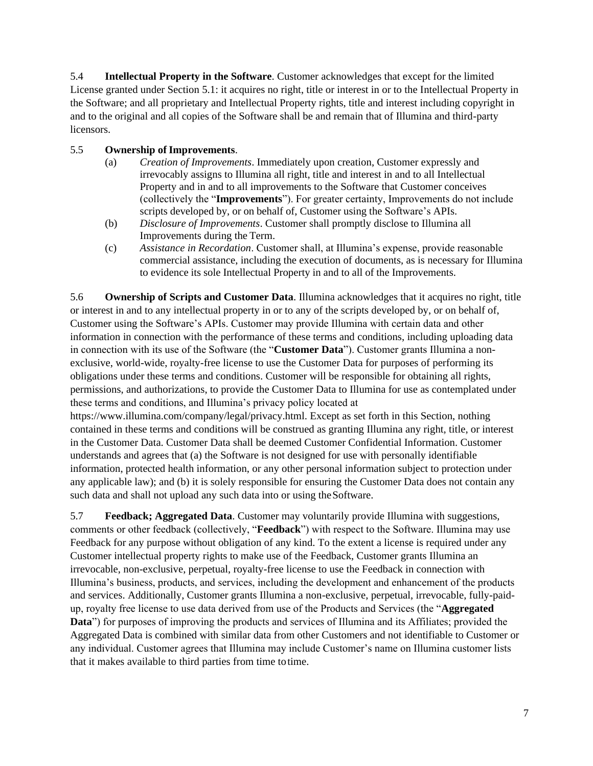5.4 **Intellectual Property in the Software**. Customer acknowledges that except for the limited License granted under Section 5.1: it acquires no right, title or interest in or to the Intellectual Property in the Software; and all proprietary and Intellectual Property rights, title and interest including copyright in and to the original and all copies of the Software shall be and remain that of Illumina and third-party licensors.

#### 5.5 **Ownership ofImprovements**.

- (a) *Creation of Improvements*. Immediately upon creation, Customer expressly and irrevocably assigns to Illumina all right, title and interest in and to all Intellectual Property and in and to all improvements to the Software that Customer conceives (collectively the "**Improvements**"). For greater certainty, Improvements do not include scripts developed by, or on behalf of, Customer using the Software's APIs.
- (b) *Disclosure of Improvements*. Customer shall promptly disclose to Illumina all Improvements during the Term.
- (c) *Assistance in Recordation*. Customer shall, at Illumina's expense, provide reasonable commercial assistance, including the execution of documents, as is necessary for Illumina to evidence its sole Intellectual Property in and to all of the Improvements.

5.6 **Ownership of Scripts and Customer Data**. Illumina acknowledges that it acquires no right, title or interest in and to any intellectual property in or to any of the scripts developed by, or on behalf of, Customer using the Software's APIs. Customer may provide Illumina with certain data and other information in connection with the performance of these terms and conditions, including uploading data in connection with its use of the Software (the "**Customer Data**"). Customer grants Illumina a nonexclusive, world-wide, royalty-free license to use the Customer Data for purposes of performing its obligations under these terms and conditions. Customer will be responsible for obtaining all rights, permissions, and authorizations, to provide the Customer Data to Illumina for use as contemplated under these terms and conditions, and Illumina's privacy policy located at

https:/[/www.illumina.com/company/legal/privacy.html.](http://www.illumina.com/company/legal/privacy.html) Except as set forth in this Section, nothing contained in these terms and conditions will be construed as granting Illumina any right, title, or interest in the Customer Data. Customer Data shall be deemed Customer Confidential Information. Customer understands and agrees that (a) the Software is not designed for use with personally identifiable information, protected health information, or any other personal information subject to protection under any applicable law); and (b) it is solely responsible for ensuring the Customer Data does not contain any such data and shall not upload any such data into or using theSoftware.

5.7 **Feedback; Aggregated Data**. Customer may voluntarily provide Illumina with suggestions, comments or other feedback (collectively, "**Feedback**") with respect to the Software. Illumina may use Feedback for any purpose without obligation of any kind. To the extent a license is required under any Customer intellectual property rights to make use of the Feedback, Customer grants Illumina an irrevocable, non-exclusive, perpetual, royalty-free license to use the Feedback in connection with Illumina's business, products, and services, including the development and enhancement of the products and services. Additionally, Customer grants Illumina a non-exclusive, perpetual, irrevocable, fully-paidup, royalty free license to use data derived from use of the Products and Services (the "**Aggregated Data**") for purposes of improving the products and services of Illumina and its Affiliates; provided the Aggregated Data is combined with similar data from other Customers and not identifiable to Customer or any individual. Customer agrees that Illumina may include Customer's name on Illumina customer lists that it makes available to third parties from time totime.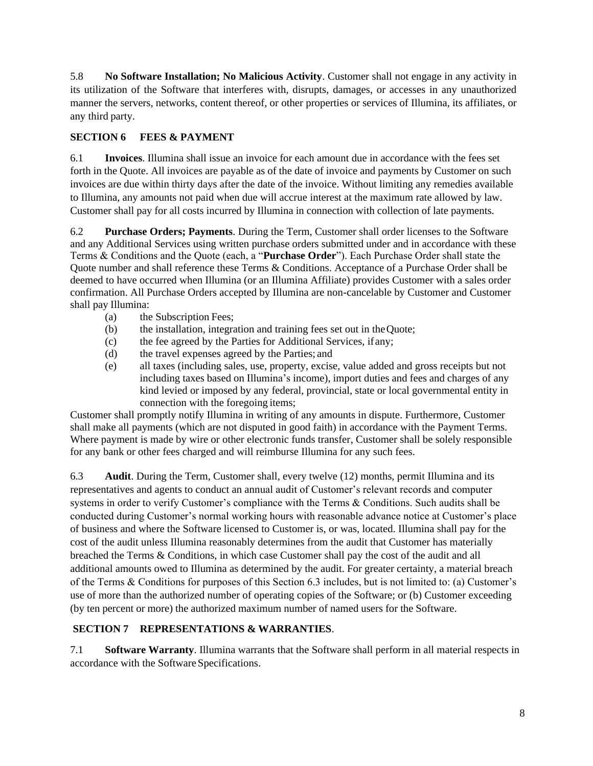5.8 **No Software Installation; No Malicious Activity**. Customer shall not engage in any activity in its utilization of the Software that interferes with, disrupts, damages, or accesses in any unauthorized manner the servers, networks, content thereof, or other properties or services of Illumina, its affiliates, or any third party.

# **SECTION 6 FEES & PAYMENT**

6.1 **Invoices**. Illumina shall issue an invoice for each amount due in accordance with the fees set forth in the Quote. All invoices are payable as of the date of invoice and payments by Customer on such invoices are due within thirty days after the date of the invoice. Without limiting any remedies available to Illumina, any amounts not paid when due will accrue interest at the maximum rate allowed by law. Customer shall pay for all costs incurred by Illumina in connection with collection of late payments.

6.2 **Purchase Orders; Payments**. During the Term, Customer shall order licenses to the Software and any Additional Services using written purchase orders submitted under and in accordance with these Terms & Conditions and the Quote (each, a "**Purchase Order**"). Each Purchase Order shall state the Quote number and shall reference these Terms & Conditions. Acceptance of a Purchase Order shall be deemed to have occurred when Illumina (or an Illumina Affiliate) provides Customer with a sales order confirmation. All Purchase Orders accepted by Illumina are non-cancelable by Customer and Customer shall pay Illumina:

- (a) the Subscription Fees;
- (b) the installation, integration and training fees set out in theQuote;
- (c) the fee agreed by the Parties for Additional Services, ifany;
- (d) the travel expenses agreed by the Parties; and
- (e) all taxes (including sales, use, property, excise, value added and gross receipts but not including taxes based on Illumina's income), import duties and fees and charges of any kind levied or imposed by any federal, provincial, state or local governmental entity in connection with the foregoing items;

Customer shall promptly notify Illumina in writing of any amounts in dispute. Furthermore, Customer shall make all payments (which are not disputed in good faith) in accordance with the Payment Terms. Where payment is made by wire or other electronic funds transfer, Customer shall be solely responsible for any bank or other fees charged and will reimburse Illumina for any such fees.

6.3 **Audit**. During the Term, Customer shall, every twelve (12) months, permit Illumina and its representatives and agents to conduct an annual audit of Customer's relevant records and computer systems in order to verify Customer's compliance with the Terms & Conditions. Such audits shall be conducted during Customer's normal working hours with reasonable advance notice at Customer's place of business and where the Software licensed to Customer is, or was, located. Illumina shall pay for the cost of the audit unless Illumina reasonably determines from the audit that Customer has materially breached the Terms & Conditions, in which case Customer shall pay the cost of the audit and all additional amounts owed to Illumina as determined by the audit. For greater certainty, a material breach of the Terms & Conditions for purposes of this Section 6.3 includes, but is not limited to: (a) Customer's use of more than the authorized number of operating copies of the Software; or (b) Customer exceeding (by ten percent or more) the authorized maximum number of named users for the Software.

## **SECTION 7 REPRESENTATIONS & WARRANTIES**.

7.1 **Software Warranty**. Illumina warrants that the Software shall perform in all material respects in accordance with the Software Specifications.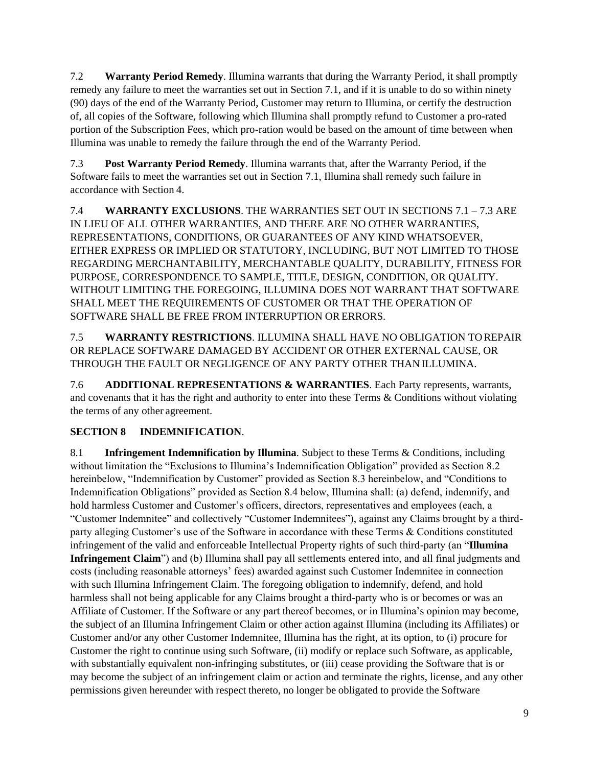7.2 **Warranty Period Remedy**. Illumina warrants that during the Warranty Period, it shall promptly remedy any failure to meet the warranties set out in Section 7.1, and if it is unable to do so within ninety (90) days of the end of the Warranty Period, Customer may return to Illumina, or certify the destruction of, all copies of the Software, following which Illumina shall promptly refund to Customer a pro-rated portion of the Subscription Fees, which pro-ration would be based on the amount of time between when Illumina was unable to remedy the failure through the end of the Warranty Period.

7.3 **Post Warranty Period Remedy**. Illumina warrants that, after the Warranty Period, if the Software fails to meet the warranties set out in Section 7.1, Illumina shall remedy such failure in accordance with Section 4.

7.4 **WARRANTY EXCLUSIONS**. THE WARRANTIES SET OUT IN SECTIONS 7.1 – 7.3 ARE IN LIEU OF ALL OTHER WARRANTIES, AND THERE ARE NO OTHER WARRANTIES, REPRESENTATIONS, CONDITIONS, OR GUARANTEES OF ANY KIND WHATSOEVER, EITHER EXPRESS OR IMPLIED OR STATUTORY, INCLUDING, BUT NOT LIMITED TO THOSE REGARDING MERCHANTABILITY, MERCHANTABLE QUALITY, DURABILITY, FITNESS FOR PURPOSE, CORRESPONDENCE TO SAMPLE, TITLE, DESIGN, CONDITION, OR QUALITY. WITHOUT LIMITING THE FOREGOING, ILLUMINA DOES NOT WARRANT THAT SOFTWARE SHALL MEET THE REQUIREMENTS OF CUSTOMER OR THAT THE OPERATION OF SOFTWARE SHALL BE FREE FROM INTERRUPTION ORERRORS.

7.5 **WARRANTY RESTRICTIONS**. ILLUMINA SHALL HAVE NO OBLIGATION TO REPAIR OR REPLACE SOFTWARE DAMAGED BY ACCIDENT OR OTHER EXTERNAL CAUSE, OR THROUGH THE FAULT OR NEGLIGENCE OF ANY PARTY OTHER THANILLUMINA.

7.6 **ADDITIONAL REPRESENTATIONS & WARRANTIES**. Each Party represents, warrants, and covenants that it has the right and authority to enter into these Terms & Conditions without violating the terms of any other agreement.

# **SECTION 8 INDEMNIFICATION**.

8.1 **Infringement Indemnification by Illumina**. Subject to these Terms & Conditions, including without limitation the "Exclusions to Illumina's Indemnification Obligation" provided as Section 8.2 hereinbelow, "Indemnification by Customer" provided as Section 8.3 hereinbelow, and "Conditions to Indemnification Obligations" provided as Section 8.4 below, Illumina shall: (a) defend, indemnify, and hold harmless Customer and Customer's officers, directors, representatives and employees (each, a "Customer Indemnitee" and collectively "Customer Indemnitees"), against any Claims brought by a thirdparty alleging Customer's use of the Software in accordance with these Terms & Conditions constituted infringement of the valid and enforceable Intellectual Property rights of such third-party (an "**Illumina Infringement Claim**") and (b) Illumina shall pay all settlements entered into, and all final judgments and costs (including reasonable attorneys' fees) awarded against such Customer Indemnitee in connection with such Illumina Infringement Claim. The foregoing obligation to indemnify, defend, and hold harmless shall not being applicable for any Claims brought a third-party who is or becomes or was an Affiliate of Customer. If the Software or any part thereof becomes, or in Illumina's opinion may become, the subject of an Illumina Infringement Claim or other action against Illumina (including its Affiliates) or Customer and/or any other Customer Indemnitee, Illumina has the right, at its option, to (i) procure for Customer the right to continue using such Software, (ii) modify or replace such Software, as applicable, with substantially equivalent non-infringing substitutes, or (iii) cease providing the Software that is or may become the subject of an infringement claim or action and terminate the rights, license, and any other permissions given hereunder with respect thereto, no longer be obligated to provide the Software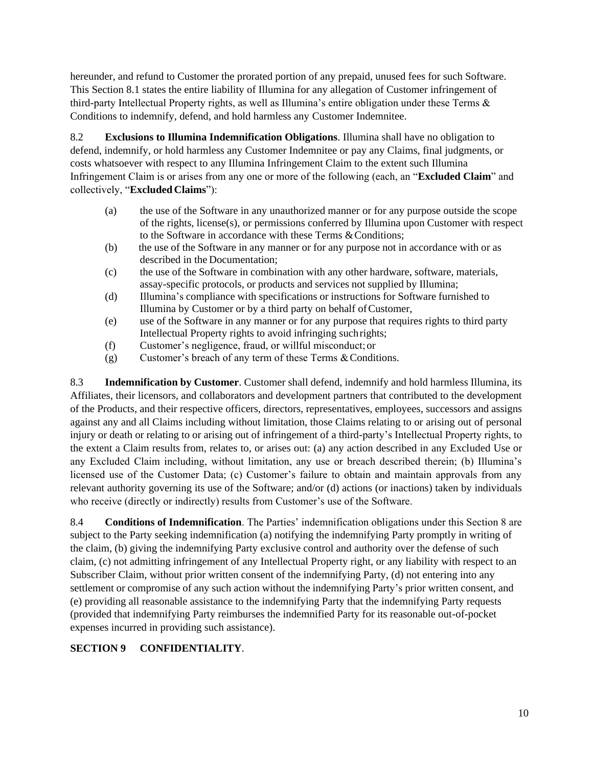hereunder, and refund to Customer the prorated portion of any prepaid, unused fees for such Software. This Section 8.1 states the entire liability of Illumina for any allegation of Customer infringement of third-party Intellectual Property rights, as well as Illumina's entire obligation under these Terms & Conditions to indemnify, defend, and hold harmless any Customer Indemnitee.

8.2 **Exclusions to Illumina Indemnification Obligations**. Illumina shall have no obligation to defend, indemnify, or hold harmless any Customer Indemnitee or pay any Claims, final judgments, or costs whatsoever with respect to any Illumina Infringement Claim to the extent such Illumina Infringement Claim is or arises from any one or more of the following (each, an "**Excluded Claim**" and collectively, "**Excluded Claims**"):

- (a) the use of the Software in any unauthorized manner or for any purpose outside the scope of the rights, license(s), or permissions conferred by Illumina upon Customer with respect to the Software in accordance with these Terms & Conditions;
- (b) the use of the Software in any manner or for any purpose not in accordance with or as described in the Documentation;
- (c) the use of the Software in combination with any other hardware, software, materials, assay-specific protocols, or products and services not supplied by Illumina;
- (d) Illumina's compliance with specifications or instructions for Software furnished to Illumina by Customer or by a third party on behalf ofCustomer,
- (e) use of the Software in any manner or for any purpose that requires rights to third party Intellectual Property rights to avoid infringing suchrights;
- (f) Customer's negligence, fraud, or willful misconduct; or
- (g) Customer's breach of any term of these Terms  $& Conditions.$

8.3 **Indemnification by Customer**. Customer shall defend, indemnify and hold harmless Illumina, its Affiliates, their licensors, and collaborators and development partners that contributed to the development of the Products, and their respective officers, directors, representatives, employees, successors and assigns against any and all Claims including without limitation, those Claims relating to or arising out of personal injury or death or relating to or arising out of infringement of a third-party's Intellectual Property rights, to the extent a Claim results from, relates to, or arises out: (a) any action described in any Excluded Use or any Excluded Claim including, without limitation, any use or breach described therein; (b) Illumina's licensed use of the Customer Data; (c) Customer's failure to obtain and maintain approvals from any relevant authority governing its use of the Software; and/or (d) actions (or inactions) taken by individuals who receive (directly or indirectly) results from Customer's use of the Software.

8.4 **Conditions of Indemnification**. The Parties' indemnification obligations under this Section 8 are subject to the Party seeking indemnification (a) notifying the indemnifying Party promptly in writing of the claim, (b) giving the indemnifying Party exclusive control and authority over the defense of such claim, (c) not admitting infringement of any Intellectual Property right, or any liability with respect to an Subscriber Claim, without prior written consent of the indemnifying Party, (d) not entering into any settlement or compromise of any such action without the indemnifying Party's prior written consent, and (e) providing all reasonable assistance to the indemnifying Party that the indemnifying Party requests (provided that indemnifying Party reimburses the indemnified Party for its reasonable out-of-pocket expenses incurred in providing such assistance).

## **SECTION 9 CONFIDENTIALITY**.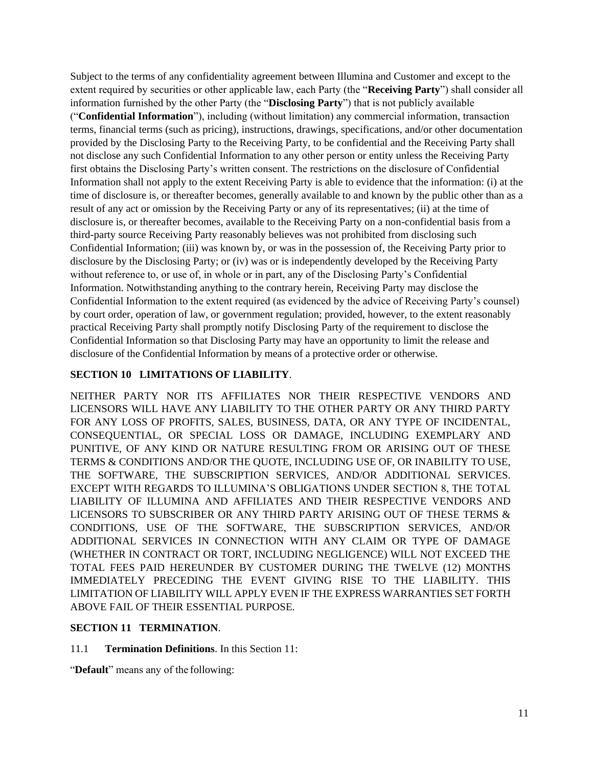Subject to the terms of any confidentiality agreement between Illumina and Customer and except to the extent required by securities or other applicable law, each Party (the "**Receiving Party**") shall consider all information furnished by the other Party (the "**Disclosing Party**") that is not publicly available ("**Confidential Information**"), including (without limitation) any commercial information, transaction terms, financial terms (such as pricing), instructions, drawings, specifications, and/or other documentation provided by the Disclosing Party to the Receiving Party, to be confidential and the Receiving Party shall not disclose any such Confidential Information to any other person or entity unless the Receiving Party first obtains the Disclosing Party's written consent. The restrictions on the disclosure of Confidential Information shall not apply to the extent Receiving Party is able to evidence that the information: (i) at the time of disclosure is, or thereafter becomes, generally available to and known by the public other than as a result of any act or omission by the Receiving Party or any of its representatives; (ii) at the time of disclosure is, or thereafter becomes, available to the Receiving Party on a non-confidential basis from a third-party source Receiving Party reasonably believes was not prohibited from disclosing such Confidential Information; (iii) was known by, or was in the possession of, the Receiving Party prior to disclosure by the Disclosing Party; or (iv) was or is independently developed by the Receiving Party without reference to, or use of, in whole or in part, any of the Disclosing Party's Confidential Information. Notwithstanding anything to the contrary herein, Receiving Party may disclose the Confidential Information to the extent required (as evidenced by the advice of Receiving Party's counsel) by court order, operation of law, or government regulation; provided, however, to the extent reasonably practical Receiving Party shall promptly notify Disclosing Party of the requirement to disclose the Confidential Information so that Disclosing Party may have an opportunity to limit the release and disclosure of the Confidential Information by means of a protective order or otherwise.

### **SECTION 10 LIMITATIONS OF LIABILITY**.

NEITHER PARTY NOR ITS AFFILIATES NOR THEIR RESPECTIVE VENDORS AND LICENSORS WILL HAVE ANY LIABILITY TO THE OTHER PARTY OR ANY THIRD PARTY FOR ANY LOSS OF PROFITS, SALES, BUSINESS, DATA, OR ANY TYPE OF INCIDENTAL, CONSEQUENTIAL, OR SPECIAL LOSS OR DAMAGE, INCLUDING EXEMPLARY AND PUNITIVE, OF ANY KIND OR NATURE RESULTING FROM OR ARISING OUT OF THESE TERMS & CONDITIONS AND/OR THE QUOTE, INCLUDING USE OF, OR INABILITY TO USE, THE SOFTWARE, THE SUBSCRIPTION SERVICES, AND/OR ADDITIONAL SERVICES. EXCEPT WITH REGARDS TO ILLUMINA'S OBLIGATIONS UNDER SECTION 8, THE TOTAL LIABILITY OF ILLUMINA AND AFFILIATES AND THEIR RESPECTIVE VENDORS AND LICENSORS TO SUBSCRIBER OR ANY THIRD PARTY ARISING OUT OF THESE TERMS & CONDITIONS, USE OF THE SOFTWARE, THE SUBSCRIPTION SERVICES, AND/OR ADDITIONAL SERVICES IN CONNECTION WITH ANY CLAIM OR TYPE OF DAMAGE (WHETHER IN CONTRACT OR TORT, INCLUDING NEGLIGENCE) WILL NOT EXCEED THE TOTAL FEES PAID HEREUNDER BY CUSTOMER DURING THE TWELVE (12) MONTHS IMMEDIATELY PRECEDING THE EVENT GIVING RISE TO THE LIABILITY. THIS LIMITATION OF LIABILITY WILL APPLY EVEN IF THE EXPRESS WARRANTIES SET FORTH ABOVE FAIL OF THEIR ESSENTIAL PURPOSE.

#### **SECTION 11 TERMINATION**.

11.1 **Termination Definitions**. In this Section 11:

"**Default**" means any of the following: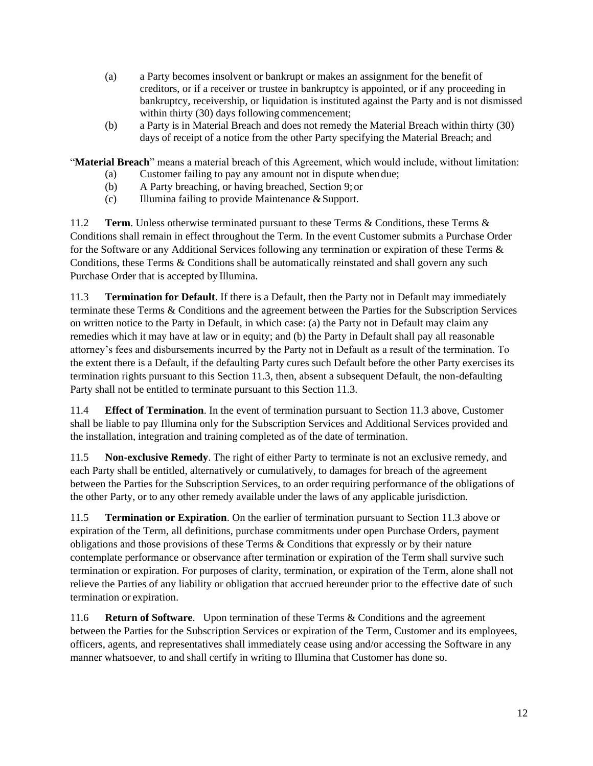- (a) a Party becomes insolvent or bankrupt or makes an assignment for the benefit of creditors, or if a receiver or trustee in bankruptcy is appointed, or if any proceeding in bankruptcy, receivership, or liquidation is instituted against the Party and is not dismissed within thirty (30) days following commencement;
- (b) a Party is in Material Breach and does not remedy the Material Breach within thirty (30) days of receipt of a notice from the other Party specifying the Material Breach; and

"**Material Breach**" means a material breach of this Agreement, which would include, without limitation:

- (a) Customer failing to pay any amount not in dispute when due;
- (b) A Party breaching, or having breached, Section 9; or
- (c) Illumina failing to provide Maintenance  $&$  Support.

11.2 **Term**. Unless otherwise terminated pursuant to these Terms & Conditions, these Terms & Conditions shall remain in effect throughout the Term. In the event Customer submits a Purchase Order for the Software or any Additional Services following any termination or expiration of these Terms & Conditions, these Terms & Conditions shall be automatically reinstated and shall govern any such Purchase Order that is accepted by Illumina.

11.3 **Termination for Default**. If there is a Default, then the Party not in Default may immediately terminate these Terms & Conditions and the agreement between the Parties for the Subscription Services on written notice to the Party in Default, in which case: (a) the Party not in Default may claim any remedies which it may have at law or in equity; and (b) the Party in Default shall pay all reasonable attorney's fees and disbursements incurred by the Party not in Default as a result of the termination. To the extent there is a Default, if the defaulting Party cures such Default before the other Party exercises its termination rights pursuant to this Section 11.3, then, absent a subsequent Default, the non-defaulting Party shall not be entitled to terminate pursuant to this Section 11.3.

11.4 **Effect of Termination**. In the event of termination pursuant to Section 11.3 above, Customer shall be liable to pay Illumina only for the Subscription Services and Additional Services provided and the installation, integration and training completed as of the date of termination.

11.5 **Non-exclusive Remedy**. The right of either Party to terminate is not an exclusive remedy, and each Party shall be entitled, alternatively or cumulatively, to damages for breach of the agreement between the Parties for the Subscription Services, to an order requiring performance of the obligations of the other Party, or to any other remedy available under the laws of any applicable jurisdiction.

11.5 **Termination or Expiration**. On the earlier of termination pursuant to Section 11.3 above or expiration of the Term, all definitions, purchase commitments under open Purchase Orders, payment obligations and those provisions of these Terms & Conditions that expressly or by their nature contemplate performance or observance after termination or expiration of the Term shall survive such termination or expiration. For purposes of clarity, termination, or expiration of the Term, alone shall not relieve the Parties of any liability or obligation that accrued hereunder prior to the effective date of such termination or expiration.

11.6 **Return of Software**. Upon termination of these Terms & Conditions and the agreement between the Parties for the Subscription Services or expiration of the Term, Customer and its employees, officers, agents, and representatives shall immediately cease using and/or accessing the Software in any manner whatsoever, to and shall certify in writing to Illumina that Customer has done so.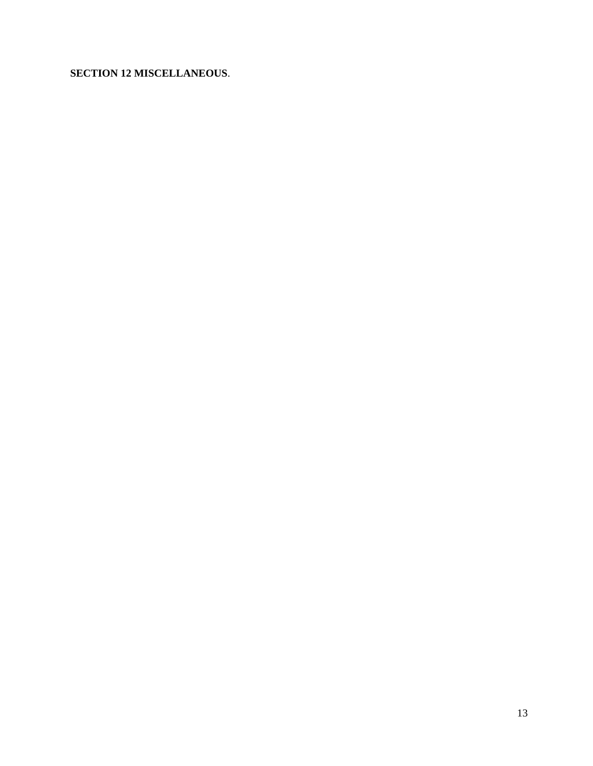# **SECTION 12 MISCELLANEOUS**.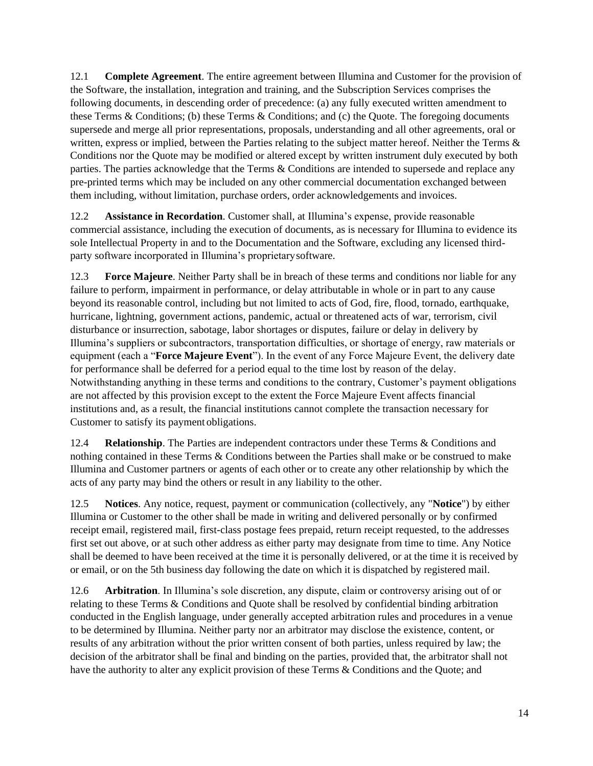12.1 **Complete Agreement**. The entire agreement between Illumina and Customer for the provision of the Software, the installation, integration and training, and the Subscription Services comprises the following documents, in descending order of precedence: (a) any fully executed written amendment to these Terms & Conditions; (b) these Terms & Conditions; and (c) the Quote. The foregoing documents supersede and merge all prior representations, proposals, understanding and all other agreements, oral or written, express or implied, between the Parties relating to the subject matter hereof. Neither the Terms & Conditions nor the Quote may be modified or altered except by written instrument duly executed by both parties. The parties acknowledge that the Terms & Conditions are intended to supersede and replace any pre-printed terms which may be included on any other commercial documentation exchanged between them including, without limitation, purchase orders, order acknowledgements and invoices.

12.2 **Assistance in Recordation**. Customer shall, at Illumina's expense, provide reasonable commercial assistance, including the execution of documents, as is necessary for Illumina to evidence its sole Intellectual Property in and to the Documentation and the Software, excluding any licensed thirdparty software incorporated in Illumina's proprietarysoftware.

12.3 **Force Majeure**. Neither Party shall be in breach of these terms and conditions nor liable for any failure to perform, impairment in performance, or delay attributable in whole or in part to any cause beyond its reasonable control, including but not limited to acts of God, fire, flood, tornado, earthquake, hurricane, lightning, government actions, pandemic, actual or threatened acts of war, terrorism, civil disturbance or insurrection, sabotage, labor shortages or disputes, failure or delay in delivery by Illumina's suppliers or subcontractors, transportation difficulties, or shortage of energy, raw materials or equipment (each a "**Force Majeure Event**"). In the event of any Force Majeure Event, the delivery date for performance shall be deferred for a period equal to the time lost by reason of the delay. Notwithstanding anything in these terms and conditions to the contrary, Customer's payment obligations are not affected by this provision except to the extent the Force Majeure Event affects financial institutions and, as a result, the financial institutions cannot complete the transaction necessary for Customer to satisfy its payment obligations.

12.4 **Relationship**. The Parties are independent contractors under these Terms & Conditions and nothing contained in these Terms & Conditions between the Parties shall make or be construed to make Illumina and Customer partners or agents of each other or to create any other relationship by which the acts of any party may bind the others or result in any liability to the other.

12.5 **Notices**. Any notice, request, payment or communication (collectively, any "**Notice**") by either Illumina or Customer to the other shall be made in writing and delivered personally or by confirmed receipt email, registered mail, first-class postage fees prepaid, return receipt requested, to the addresses first set out above, or at such other address as either party may designate from time to time. Any Notice shall be deemed to have been received at the time it is personally delivered, or at the time it is received by or email, or on the 5th business day following the date on which it is dispatched by registered mail.

12.6 **Arbitration**. In Illumina's sole discretion, any dispute, claim or controversy arising out of or relating to these Terms & Conditions and Quote shall be resolved by confidential binding arbitration conducted in the English language, under generally accepted arbitration rules and procedures in a venue to be determined by Illumina. Neither party nor an arbitrator may disclose the existence, content, or results of any arbitration without the prior written consent of both parties, unless required by law; the decision of the arbitrator shall be final and binding on the parties, provided that, the arbitrator shall not have the authority to alter any explicit provision of these Terms & Conditions and the Quote; and